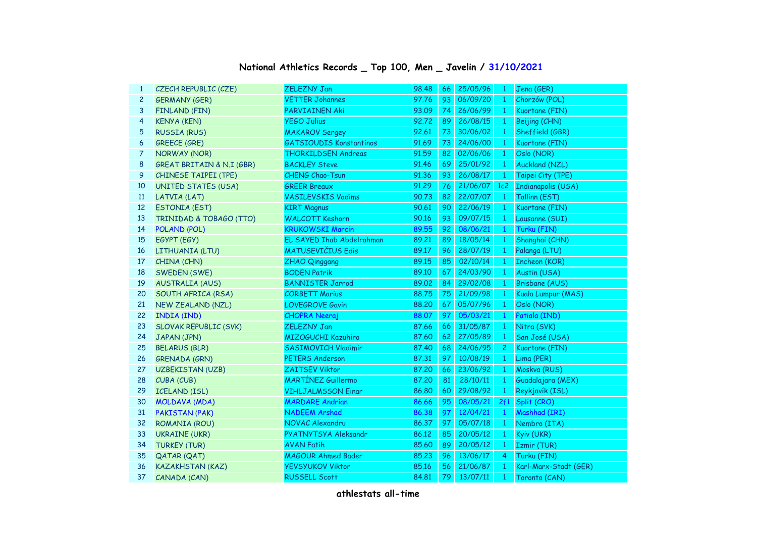| $\mathbf{1}$   | CZECH REPUBLIC (CZE)         | <b>ZELEZNY Jan</b>             | 98.48 | 66 | 25/05/96 | $\mathbf{1}$   | Jena (GER)            |
|----------------|------------------------------|--------------------------------|-------|----|----------|----------------|-----------------------|
| $\overline{c}$ | <b>GERMANY (GER)</b>         | <b>VETTER Johannes</b>         | 97.76 | 93 | 06/09/20 | $\mathbf{1}$   | Chorzów (POL)         |
| 3              | FINLAND (FIN)                | PARVIAINEN Aki                 | 93.09 | 74 | 26/06/99 | $\mathbf{1}$   | Kuortane (FIN)        |
| 4              | <b>KENYA (KEN)</b>           | <b>YEGO Julius</b>             | 92.72 | 89 | 26/08/15 | $\mathbf{1}$   | Beijing (CHN)         |
| 5              | <b>RUSSIA (RUS)</b>          | <b>MAKAROV Sergey</b>          | 92.61 | 73 | 30/06/02 | $\mathbf{1}$   | Sheffield (GBR)       |
| 6              | <b>GREECE (GRE)</b>          | <b>GATSIOUDIS Konstantinos</b> | 91.69 | 73 | 24/06/00 | $\mathbf{1}$   | Kuortane (FIN)        |
| 7              | NORWAY (NOR)                 | <b>THORKILDSEN Andreas</b>     | 91.59 | 82 | 02/06/06 | $\mathbf{1}$   | Oslo (NOR)            |
| 8              | GREAT BRITAIN & N.I (GBR)    | <b>BACKLEY Steve</b>           | 91.46 | 69 | 25/01/92 | $\mathbf{1}$   | Auckland (NZL)        |
| 9              | <b>CHINESE TAIPEI (TPE)</b>  | CHENG Chao-Tsun                | 91.36 | 93 | 26/08/17 | $\overline{1}$ | Taipei City (TPE)     |
| 10             | <b>UNITED STATES (USA)</b>   | <b>GREER Breaux</b>            | 91.29 | 76 | 21/06/07 | 1c2            | Indianapolis (USA)    |
| 11             | LATVIA (LAT)                 | <b>VASILEVSKIS Vadims</b>      | 90.73 | 82 | 22/07/07 | $\overline{1}$ | Tallinn (EST)         |
| 12             | <b>ESTONIA (EST)</b>         | <b>KIRT Magnus</b>             | 90.61 | 90 | 22/06/19 | $\mathbf{1}$   | Kuortane (FIN)        |
| 13             | TRINIDAD & TOBAGO (TTO)      | <b>WALCOTT Keshorn</b>         | 90.16 | 93 | 09/07/15 | $\mathbf{1}$   | Lausanne (SUI)        |
| 14             | POLAND (POL)                 | <b>KRUKOWSKI Marcin</b>        | 89.55 | 92 | 08/06/21 | $\mathbf{1}$   | Turku (FIN)           |
| 15             | EGYPT (EGY)                  | EL SAYED Ihab Abdelrahman      | 89.21 | 89 | 18/05/14 | $\mathbf{1}$   | Shanghai (CHN)        |
| 16             | LITHUANIA (LTU)              | <b>MATUSEVIČIUS Edis</b>       | 89.17 | 96 | 28/07/19 | $\mathbf{1}$   | Palanga (LTU)         |
| 17             | CHINA (CHN)                  | <b>ZHAO Qinggang</b>           | 89.15 | 85 | 02/10/14 | $\mathbf{1}$   | <b>Incheon (KOR)</b>  |
| 18             | SWEDEN (SWE)                 | <b>BODEN Patrik</b>            | 89.10 | 67 | 24/03/90 | $\mathbf{1}$   | Austin (USA)          |
| 19             | <b>AUSTRALIA (AUS)</b>       | <b>BANNISTER Jarrod</b>        | 89.02 | 84 | 29/02/08 | $\mathbf{1}$   | <b>Brisbane (AUS)</b> |
| 20             | SOUTH AFRICA (RSA)           | <b>CORBETT Marius</b>          | 88.75 | 75 | 21/09/98 | $\mathbf{1}$   | Kuala Lumpur (MAS)    |
| 21             | <b>NEW ZEALAND (NZL)</b>     | <b>LOVEGROVE Gavin</b>         | 88,20 | 67 | 05/07/96 | $\overline{1}$ | Oslo (NOR)            |
| 22             | INDIA (IND)                  | <b>CHOPRA Neeraj</b>           | 88.07 | 97 | 05/03/21 | $\mathbf{1}$   | Patiala (IND)         |
| 23             | <b>SLOVAK REPUBLIC (SVK)</b> | ZELEZNY Jan                    | 87.66 | 66 | 31/05/87 | $\mathbf{1}$   | Nitra (SVK)           |
| 24             | JAPAN (JPN)                  | MIZOGUCHI Kazuhiro             | 87.60 | 62 | 27/05/89 | $\mathbf{1}$   | San José (USA)        |
| 25             | <b>BELARUS (BLR)</b>         | <b>SASIMOVICH Vladimir</b>     | 87.40 | 68 | 24/06/95 | $\mathbf{2}$   | Kuortane (FIN)        |
| 26             | <b>GRENADA (GRN)</b>         | <b>PETERS Anderson</b>         | 87.31 | 97 | 10/08/19 | $\mathbf{1}$   | Lima (PER)            |
| 27             | <b>UZBEKISTAN (UZB)</b>      | ZAITSEV Viktor                 | 87.20 | 66 | 23/06/92 | $\mathbf{1}$   | Moskva (RUS)          |
| 28             | CUBA (CUB)                   | <b>MARTÍNEZ Guillermo</b>      | 87.20 | 81 | 28/10/11 | $\mathbf{1}$   | Guadalajara (MEX)     |
| 29             | <b>ICELAND (ISL)</b>         | <b>VIHLJALMSSON Einar</b>      | 86.80 | 60 | 29/08/92 | $\mathbf{1}$   | Reykjavík (ISL)       |
| 30             | <b>MOLDAVA (MDA)</b>         | <b>MARDARE Andrian</b>         | 86.66 | 95 | 08/05/21 | 2f1            | Split (CRO)           |
| 31             | PAKISTAN (PAK)               | <b>NADEEM Arshad</b>           | 86.38 | 97 | 12/04/21 | $\mathbf{1}$   | Mashhad (IRI)         |
| 32             | ROMANIA (ROU)                | NOVAC Alexandru                | 86.37 | 97 | 05/07/18 | $\overline{1}$ | Nembro (ITA)          |
| 33             | <b>UKRAINE (UKR)</b>         | PYATNYTSYA Aleksandr           | 86.12 | 85 | 20/05/12 | $\mathbf{1}$   | Kyiv (UKR)            |
| 34             | <b>TURKEY (TUR)</b>          | <b>AVAN Fatih</b>              | 85.60 | 89 | 20/05/12 | $\mathbf{1}$   | Izmir (TUR)           |
| 35             | <b>QATAR (QAT)</b>           | <b>MAGOUR Ahmed Bader</b>      | 85.23 | 96 | 13/06/17 | 4              | Turku (FIN)           |
| 36             | <b>KAZAKHSTAN (KAZ)</b>      | <b>YEVSYUKOV Viktor</b>        | 85.16 | 56 | 21/06/87 | $\mathbf{1}$   | Karl-Marx-Stadt (GER) |
| 37             | CANADA (CAN)                 | <b>RUSSELL Scott</b>           | 84.81 | 79 | 13/07/11 | $\mathbf{1}$   | Toronto (CAN)         |

## **National Athletics Records \_ Top 100, Men \_ Javelin / 31/10/2021**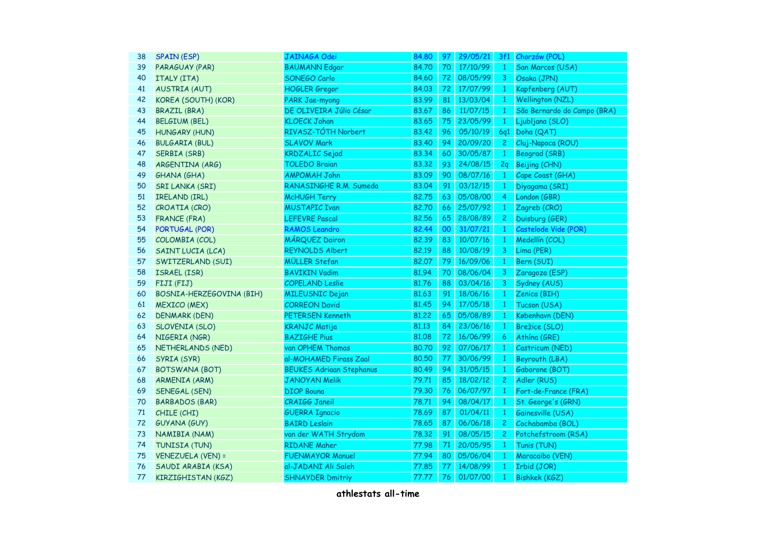| 38 | <b>SPAIN (ESP)</b>       | JAINAGA Odei                    | 84.80 | 97 | 29/05/21 |                | 3f1 Chorzów (POL)           |
|----|--------------------------|---------------------------------|-------|----|----------|----------------|-----------------------------|
| 39 | PARAGUAY (PAR)           | <b>BAUMANN Edgar</b>            | 84.70 | 70 | 17/10/99 | $\mathbf{1}$   | San Marcos (USA)            |
| 40 | ITALY (ITA)              | SONEGO Carlo                    | 84.60 | 72 | 08/05/99 | 3              | Osaka (JPN)                 |
| 41 | <b>AUSTRIA (AUT)</b>     | <b>HOGLER</b> Gregor            | 84.03 | 72 | 17/07/99 | $\mathbf{1}$   | Kapfenberg (AUT)            |
| 42 | KOREA (SOUTH) (KOR)      | PARK Jae-myong                  | 83.99 | 81 | 13/03/04 | $\mathbf{1}$   | Wellington (NZL)            |
| 43 | <b>BRAZIL (BRA)</b>      | DE OLIVEIRA Júlio César         | 83.67 | 86 | 11/07/15 | $\mathbf{1}$   | São Bernardo do Campo (BRA) |
| 44 | <b>BELGIUM (BEL)</b>     | <b>KLOECK Johan</b>             | 83.65 | 75 | 23/05/99 | $\mathbf{1}$   | Ljubljana (SLO)             |
| 45 | <b>HUNGARY (HUN)</b>     | RIVASZ-TÓTH Norbert             | 83.42 | 96 | 05/10/19 | <b>6q1</b>     | Doha (QAT)                  |
| 46 | <b>BULGARIA (BUL)</b>    | <b>SLAVOV Mark</b>              | 83.40 | 94 | 20/09/20 | $\mathbf{2}$   | Cluj-Napoca (ROU)           |
| 47 | <b>SERBIA (SRB)</b>      | <b>KRDZALIC</b> Sejad           | 83.34 | 60 | 30/05/87 | $\mathbf{1}$   | <b>Beograd (SRB)</b>        |
| 48 | ARGENTINA (ARG)          | <b>TOLEDO Braian</b>            | 83.32 | 93 | 24/08/15 | 2q             | Beijing (CHN)               |
| 49 | <b>GHANA (GHA)</b>       | <b>AMPOMAH John</b>             | 83.09 | 90 | 08/07/16 | $\mathbf{1}$   | Cape Coast (GHA)            |
| 50 | SRI LANKA (SRI)          | RANASINGHE R.M. Sumeda          | 83.04 | 91 | 03/12/15 | $\mathbf{1}$   | Diyagama (SRI)              |
| 51 | IRELAND (IRL)            | <b>McHUGH Terry</b>             | 82.75 | 63 | 05/08/00 | $\overline{4}$ | London (GBR)                |
| 52 | CROATIA (CRO)            | <b>MUSTAPIC Ivan</b>            | 82.70 | 66 | 25/07/92 | $\mathbf{1}$   | Zagreb (CRO)                |
| 53 | <b>FRANCE (FRA)</b>      | <b>LEFEVRE Pascal</b>           | 82.56 | 65 | 28/08/89 | $\mathbf{2}$   | Duisburg (GER)              |
| 54 | PORTUGAL (POR)           | RAMOS Leandro                   | 82.44 | 00 | 31/07/21 | $\mathbf{1}$   | Castelode Vide (POR)        |
| 55 | COLOMBIA (COL)           | <b>MÁRQUEZ Dairon</b>           | 82.39 | 83 | 10/07/16 | $\mathbf{1}$   | Medellín (COL)              |
| 56 | <b>SAINT LUCIA (LCA)</b> | <b>REYNOLDS Albert</b>          | 82.19 | 88 | 10/08/19 | $\mathbf{3}$   | Lima (PER)                  |
| 57 | SWITZERLAND (SUI)        | <b>MÜLLER Stefan</b>            | 82.07 | 79 | 16/09/06 | $\mathbf{1}$   | Bern (SUI)                  |
| 58 | ISRAEL (ISR)             | <b>BAVIKIN Vadim</b>            | 81.94 | 70 | 08/06/04 | $\mathbf{3}$   | Zaragoza (ESP)              |
| 59 | FIJI (FIJ)               | <b>COPELAND Leslie</b>          | 81.76 | 88 | 03/04/16 | $\mathbf{3}$   | Sydney (AUS)                |
| 60 | BOSNIA-HERZEGOVINA (BIH) | <b>MILEUSNIC Dejan</b>          | 81.63 | 91 | 18/06/16 | $\mathbf{1}$   | Zenica (BIH)                |
| 61 | <b>MEXICO (MEX)</b>      | <b>CORREON David</b>            | 81.45 | 94 | 17/05/18 | $\mathbf{1}$   | Tucson (USA)                |
| 62 | <b>DENMARK (DEN)</b>     | PETERSEN Kenneth                | 81,22 | 65 | 05/08/89 | $\mathbf{1}$   | København (DEN)             |
| 63 | <b>SLOVENIA (SLO)</b>    | <b>KRANJC Matija</b>            | 81.13 | 84 | 23/06/16 | $\mathbf{1}$   | Brežice (SLO)               |
| 64 | NIGERIA (NGR)            | <b>BAZIGHE Pius</b>             | 81.08 | 72 | 16/06/99 | 6              | Athína (GRE)                |
| 65 | NETHERLANDS (NED)        | van OPHEM Thomas                | 80.70 | 92 | 07/06/17 | $\mathbf{1}$   | Castricum (NED)             |
| 66 | SYRIA (SYR)              | al-MOHAMED Firass Zaal          | 80.50 | 77 | 30/06/99 | $\mathbf{1}$   | Beyrouth (LBA)              |
| 67 | <b>BOTSWANA (BOT)</b>    | <b>BEUKES Adrigan Stephanus</b> | 80.49 | 94 | 31/05/15 | $\mathbf{1}$   | Gaborone (BOT)              |
| 68 | <b>ARMENIA (ARM)</b>     | <b>JANOYAN Melik</b>            | 79.71 | 85 | 18/02/12 | $\overline{c}$ | Adler (RUS)                 |
| 69 | SENEGAL (SEN)            | <b>DIOP Bouna</b>               | 79.30 | 76 | 06/07/97 | $\mathbf{1}$   | Fort-de-France (FRA)        |
| 70 | <b>BARBADOS (BAR)</b>    | <b>CRAIGG Janeil</b>            | 78.71 | 94 | 08/04/17 | $\mathbf{1}$   | St. George's (GRN)          |
| 71 | CHILE (CHI)              | <b>GUERRA Ignacio</b>           | 78.69 | 87 | 01/04/11 | $\mathbf{1}$   | Gainesville (USA)           |
| 72 | GUYANA (GUY)             | <b>BAIRD Leslain</b>            | 78.65 | 87 | 06/06/18 | $\overline{c}$ | Cochabamba (BOL)            |
| 73 | NAMIBIA (NAM)            | van der WATH Strydom            | 78.32 | 91 | 08/05/15 | $\mathbf{2}$   | Potchefstroom (RSA)         |
| 74 | TUNISIA (TUN)            | <b>RIDANE Maher</b>             | 77.98 | 71 | 20/05/95 | $\mathbf{1}$   | Tunis (TUN)                 |
| 75 | <b>VENEZUELA (VEN) =</b> | <b>FUENMAYOR Manuel</b>         | 77.94 | 80 | 05/06/04 | $\mathbf{1}$   | Maracaibo (VEN)             |
| 76 | SAUDI ARABIA (KSA)       | al-JADANI Ali Saleh             | 77.85 | 77 | 14/08/99 | $\mathbf{1}$   | Irbid (JOR)                 |
| 77 | KIRZIGHISTAN (KGZ)       | <b>SHNAYDER Dmitriy</b>         | 77.77 | 76 | 01/07/00 | $\mathbf{1}$   | <b>Bishkek (KGZ)</b>        |